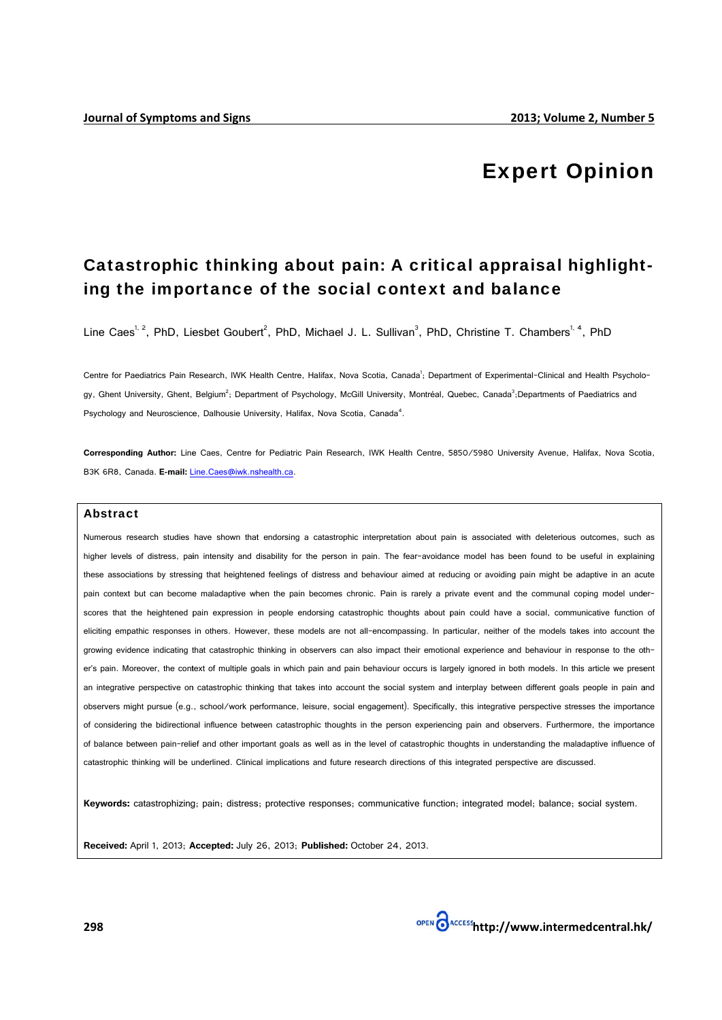# **Expert Opinion**

# Catastrophic thinking about pain: A critical appraisal highlighting the importance of the social context and balance

Line Caes<sup>1, 2</sup>, PhD, Liesbet Goubert<sup>2</sup>, PhD, Michael J. L. Sullivan<sup>3</sup>, PhD, Christine T. Chambers<sup>1, 4</sup>, PhD

Centre for Paediatrics Pain Research, IWK Health Centre, Halifax, Nova Scotia, Canada<sup>1</sup>; Department of Experimental-Clinical and Health Psychology, Ghent University, Ghent, Belgium<sup>2</sup>; Department of Psychology, McGill University, Montréal, Quebec, Canada<sup>3</sup>;Departments of Paediatrics and Psychology and Neuroscience, Dalhousie University, Halifax, Nova Scotia, Canada<sup>4</sup>.

Corresponding Author: Line Caes, Centre for Pediatric Pain Research, IWK Health Centre, 5850/5980 University Avenue, Halifax, Nova Scotia, B3K 6R8, Canada. E-mail: Line.Caes@iwk.nshealth.ca

#### **Abstract**

Numerous research studies have shown that endorsing a catastrophic interpretation about pain is associated with deleterious outcomes, such as higher levels of distress, pain intensity and disability for the person in pain. The fear-avoidance model has been found to be useful in explaining these associations by stressing that heightened feelings of distress and behaviour aimed at reducing or avoiding pain might be adaptive in an acute pain context but can become maladaptive when the pain becomes chronic. Pain is rarely a private event and the communal coping model underscores that the heightened pain expression in people endorsing catastrophic thoughts about pain could have a social, communicative function of eliciting empathic responses in others. However, these models are not all-encompassing. In particular, neither of the models takes into account the growing evidence indicating that catastrophic thinking in observers can also impact their emotional experience and behaviour in response to the other's pain. Moreover, the context of multiple goals in which pain and pain behaviour occurs is largely ignored in both models. In this article we present an integrative perspective on catastrophic thinking that takes into account the social system and interplay between different goals people in pain and observers might pursue (e.g., school/work performance, leisure, social engagement). Specifically, this integrative perspective stresses the importance of considering the bidirectional influence between catastrophic thoughts in the person experiencing pain and observers. Furthermore, the importance of balance between pain-relief and other important goals as well as in the level of catastrophic thoughts in understanding the maladaptive influence of catastrophic thinking will be underlined. Clinical implications and future research directions of this integrated perspective are discussed.

Keywords: catastrophizing: pain: distress: protective responses: communicative function: integrated model: balance: social system.

Received: April 1, 2013; Accepted: July 26, 2013; Published: October 24, 2013.

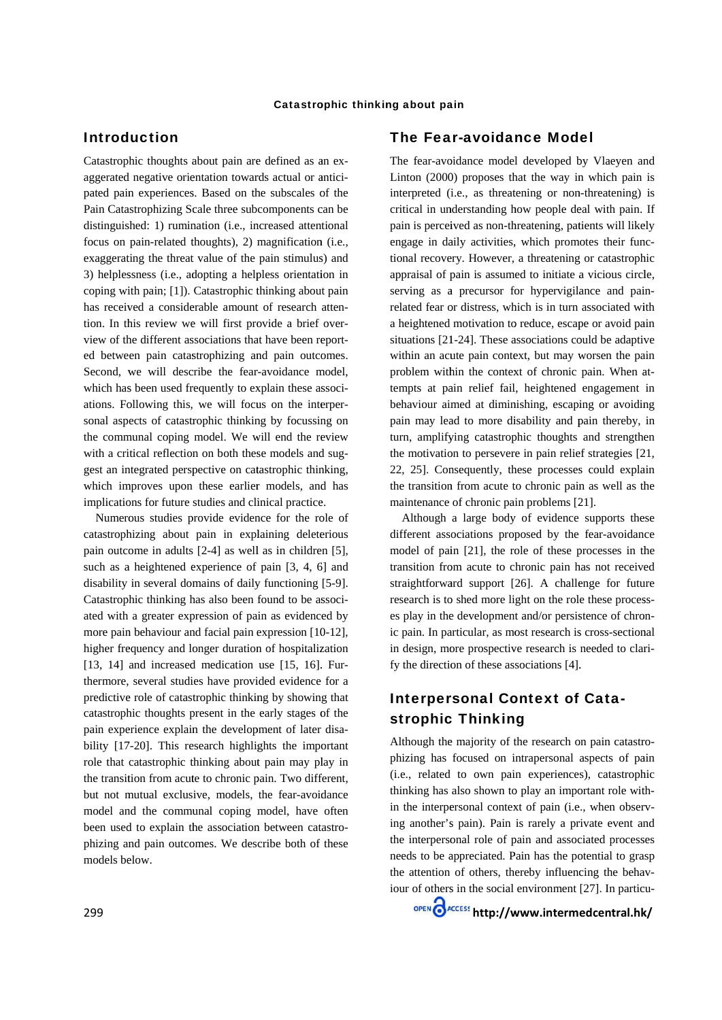## **Introduction**

Catastrophic thoughts about pain are defined as an exaggerated negative orientation towards actual or anticipated pain experiences. Based on the subscales of the Pain Catastrophizing Scale three subcomponents can be distinguished: 1) rumination (i.e., increased attentional focus on pain-related thoughts), 2) magnification (i.e., exaggerating the threat value of the pain stimulus) and 3) helplessness (i.e., adopting a helpless orientation in coping with pain; [1]). Catastrophic thinking about pain has received a considerable amount of research attention. In this review we will first provide a brief overview of the different associations that have been reported between pain catastrophizing and pain outcomes. Second, we will describe the fear-avoidance model, which has been used frequently to explain these associations. Following this, we will focus on the interpersonal aspects of catastrophic thinking by focussing on the communal coping model. We will end the review with a critical reflection on both these models and suggest an integrated perspective on catastrophic thinking, which improves upon these earlier models, and has implications for future studies and clinical practice.

Numerous studies provide evidence for the role of catastrophizing about pain in explaining deleterious pain outcome in adults [2-4] as well as in children [5]. such as a heightened experience of pain [3, 4, 6] and disability in several domains of daily functioning [5-9]. Catastrophic thinking has also been found to be associated with a greater expression of pain as evidenced by more pain behaviour and facial pain expression [10-12]. higher frequency and longer duration of hospitalization [13, 14] and increased medication use [15, 16]. Furthermore, several studies have provided evidence for a predictive role of catastrophic thinking by showing that catastrophic thoughts present in the early stages of the pain experience explain the development of later disability [17-20]. This research highlights the important role that catastrophic thinking about pain may play in the transition from acute to chronic pain. Two different, but not mutual exclusive, models, the fear-avoidance model and the communal coping model, have often been used to explain the association between catastrophizing and pain outcomes. We describe both of these models below.

The fear-avoidance model developed by Vlaeven and Linton (2000) proposes that the way in which pain is interpreted (i.e., as threatening or non-threatening) is critical in understanding how people deal with pain. If pain is perceived as non-threatening, patients will likely engage in daily activities, which promotes their functional recovery. However, a threatening or catastrophic appraisal of pain is assumed to initiate a vicious circle, serving as a precursor for hypervigilance and painrelated fear or distress, which is in turn associated with a heightened motivation to reduce, escape or avoid pain situations [21-24]. These associations could be adaptive within an acute pain context, but may worsen the pain problem within the context of chronic pain. When attempts at pain relief fail, heightened engagement in behaviour aimed at diminishing, escaping or avoiding pain may lead to more disability and pain thereby, in turn, amplifying catastrophic thoughts and strengthen the motivation to persevere in pain relief strategies [21, 22, 25]. Consequently, these processes could explain the transition from acute to chronic pain as well as the maintenance of chronic pain problems [21].

Although a large body of evidence supports these different associations proposed by the fear-avoidance model of pain [21], the role of these processes in the transition from acute to chronic pain has not received straightforward support [26]. A challenge for future research is to shed more light on the role these processes play in the development and/or persistence of chronic pain. In particular, as most research is cross-sectional in design, more prospective research is needed to clarify the direction of these associations [4].

# **Interpersonal Context of Cata**strophic Thinking

Although the majority of the research on pain catastrophizing has focused on intrapersonal aspects of pain (i.e., related to own pain experiences), catastrophic thinking has also shown to play an important role within the interpersonal context of pain (i.e., when observing another's pain). Pain is rarely a private event and the interpersonal role of pain and associated processes needs to be appreciated. Pain has the potential to grasp the attention of others, thereby influencing the behaviour of others in the social environment [27]. In particu-

OPEN CACCESS http://www.intermedcentral.hk/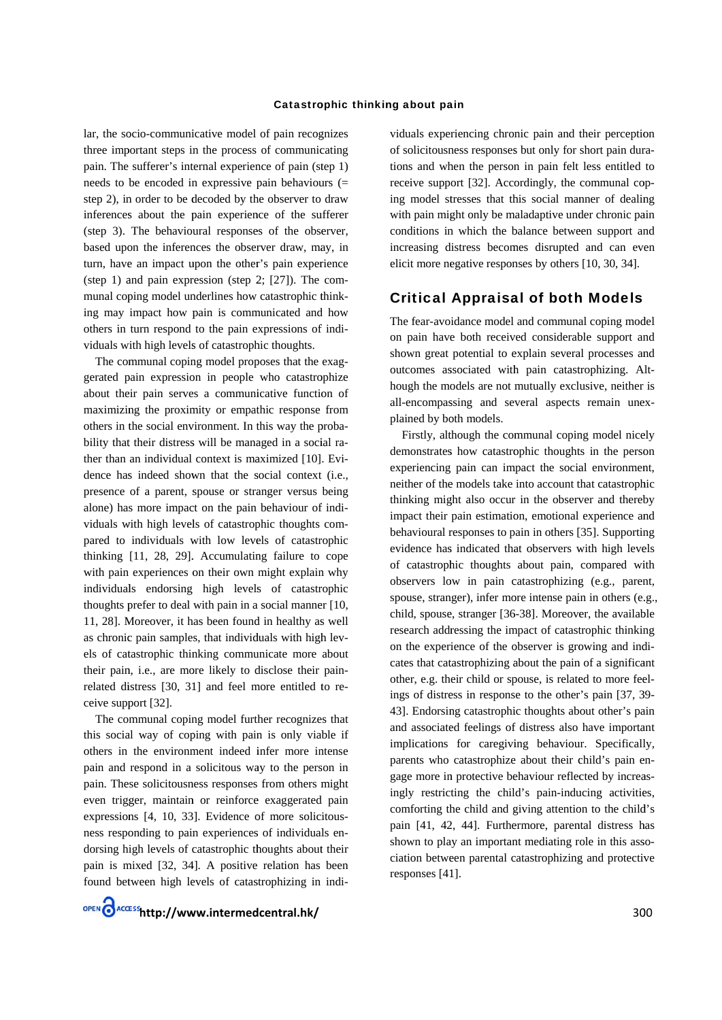lar, the socio-communicative model of pain recognizes three important steps in the process of communicating pain. The sufferer's internal experience of pain (step 1) needs to be encoded in expressive pain behaviours  $(=$ step 2), in order to be decoded by the observer to draw inferences about the pain experience of the sufferer (step 3). The behavioural responses of the observer, based upon the inferences the observer draw, may, in turn, have an impact upon the other's pain experience (step 1) and pain expression (step 2;  $[27]$ ). The communal coping model underlines how catastrophic thinking may impact how pain is communicated and how others in turn respond to the pain expressions of individuals with high levels of catastrophic thoughts.

The communal coping model proposes that the exaggerated pain expression in people who catastrophize about their pain serves a communicative function of maximizing the proximity or empathic response from others in the social environment. In this way the probability that their distress will be managed in a social rather than an individual context is maximized [10]. Evidence has indeed shown that the social context (i.e., presence of a parent, spouse or stranger versus being alone) has more impact on the pain behaviour of individuals with high levels of catastrophic thoughts compared to individuals with low levels of catastrophic thinking [11, 28, 29]. Accumulating failure to cope with pain experiences on their own might explain why individuals endorsing high levels of catastrophic thoughts prefer to deal with pain in a social manner [10, 11, 28]. Moreover, it has been found in healthy as well as chronic pain samples, that individuals with high levels of catastrophic thinking communicate more about their pain, i.e., are more likely to disclose their painrelated distress [30, 31] and feel more entitled to receive support [32].

The communal coping model further recognizes that this social way of coping with pain is only viable if others in the environment indeed infer more intense pain and respond in a solicitous way to the person in pain. These solicitousness responses from others might even trigger, maintain or reinforce exaggerated pain expressions [4, 10, 33]. Evidence of more solicitousness responding to pain experiences of individuals endorsing high levels of catastrophic thoughts about their pain is mixed [32, 34]. A positive relation has been found between high levels of catastrophizing in indi-

OPEN CACCESS http://www.intermedcentral.hk/

viduals experiencing chronic pain and their perception of solicitousness responses but only for short pain durations and when the person in pain felt less entitled to receive support [32]. Accordingly, the communal coping model stresses that this social manner of dealing with pain might only be maladaptive under chronic pain conditions in which the balance between support and increasing distress becomes disrupted and can even elicit more negative responses by others [10, 30, 34].

### **Critical Appraisal of both Models**

The fear-avoidance model and communal coping model on pain have both received considerable support and shown great potential to explain several processes and outcomes associated with pain catastrophizing. Although the models are not mutually exclusive, neither is all-encompassing and several aspects remain unexplained by both models.

Firstly, although the communal coping model nicely demonstrates how catastrophic thoughts in the person experiencing pain can impact the social environment, neither of the models take into account that catastrophic thinking might also occur in the observer and thereby impact their pain estimation, emotional experience and behavioural responses to pain in others [35]. Supporting evidence has indicated that observers with high levels of catastrophic thoughts about pain, compared with observers low in pain catastrophizing (e.g., parent, spouse, stranger), infer more intense pain in others (e.g., child, spouse, stranger [36-38]. Moreover, the available research addressing the impact of catastrophic thinking on the experience of the observer is growing and indicates that catastrophizing about the pain of a significant other, e.g. their child or spouse, is related to more feelings of distress in response to the other's pain [37, 39-43]. Endorsing catastrophic thoughts about other's pain and associated feelings of distress also have important implications for caregiving behaviour. Specifically, parents who catastrophize about their child's pain engage more in protective behaviour reflected by increasingly restricting the child's pain-inducing activities, comforting the child and giving attention to the child's pain [41, 42, 44]. Furthermore, parental distress has shown to play an important mediating role in this association between parental catastrophizing and protective responses [41].

300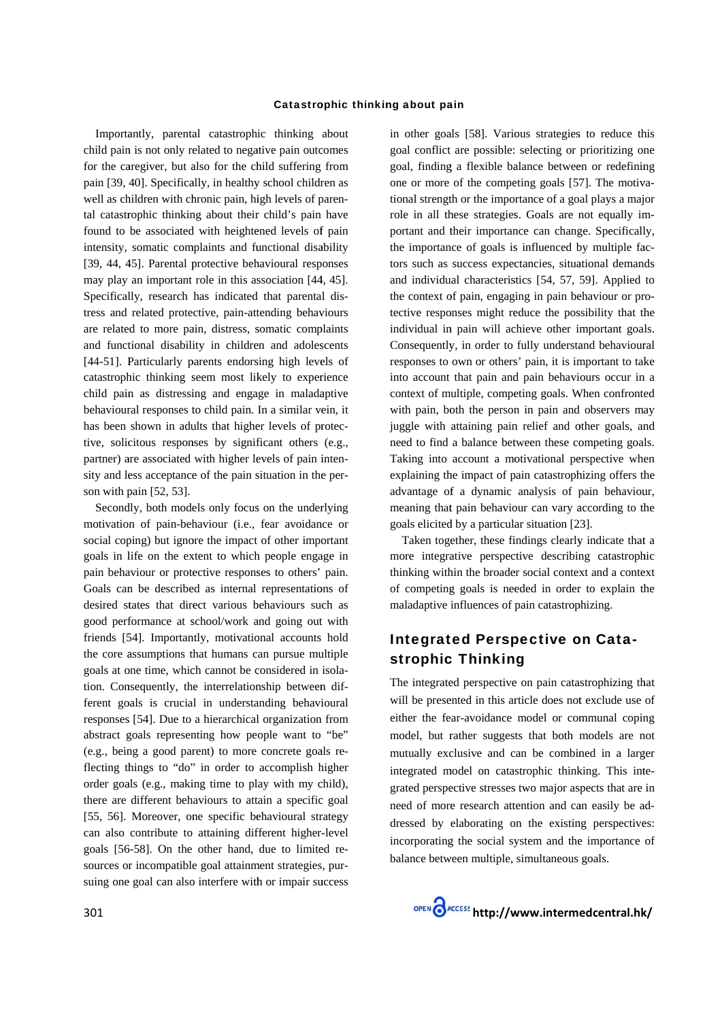Importantly, parental catastrophic thinking about child pain is not only related to negative pain outcomes for the caregiver, but also for the child suffering from pain [39, 40]. Specifically, in healthy school children as well as children with chronic pain, high levels of parental catastrophic thinking about their child's pain have found to be associated with heightened levels of pain intensity, somatic complaints and functional disability [39, 44, 45]. Parental protective behavioural responses may play an important role in this association [44, 45]. Specifically, research has indicated that parental distress and related protective, pain-attending behaviours are related to more pain, distress, somatic complaints and functional disability in children and adolescents [44-51]. Particularly parents endorsing high levels of catastrophic thinking seem most likely to experience child pain as distressing and engage in maladaptive behavioural responses to child pain. In a similar vein, it has been shown in adults that higher levels of protective, solicitous responses by significant others (e.g., partner) are associated with higher levels of pain intensity and less acceptance of the pain situation in the person with pain  $[52, 53]$ .

Secondly, both models only focus on the underlying motivation of pain-behaviour (i.e., fear avoidance or social coping) but ignore the impact of other important goals in life on the extent to which people engage in pain behaviour or protective responses to others' pain. Goals can be described as internal representations of desired states that direct various behaviours such as good performance at school/work and going out with friends [54]. Importantly, motivational accounts hold the core assumptions that humans can pursue multiple goals at one time, which cannot be considered in isolation. Consequently, the interrelationship between different goals is crucial in understanding behavioural responses [54]. Due to a hierarchical organization from abstract goals representing how people want to "be" (e.g., being a good parent) to more concrete goals reflecting things to "do" in order to accomplish higher order goals (e.g., making time to play with my child), there are different behaviours to attain a specific goal [55, 56]. Moreover, one specific behavioural strategy can also contribute to attaining different higher-level goals [56-58]. On the other hand, due to limited resources or incompatible goal attainment strategies, pursuing one goal can also interfere with or impair success

in other goals [58]. Various strategies to reduce this goal conflict are possible: selecting or prioritizing one goal, finding a flexible balance between or redefining one or more of the competing goals [57]. The motivational strength or the importance of a goal plays a major role in all these strategies. Goals are not equally important and their importance can change. Specifically, the importance of goals is influenced by multiple factors such as success expectancies, situational demands and individual characteristics [54, 57, 59]. Applied to the context of pain, engaging in pain behaviour or protective responses might reduce the possibility that the individual in pain will achieve other important goals. Consequently, in order to fully understand behavioural responses to own or others' pain, it is important to take into account that pain and pain behaviours occur in a context of multiple, competing goals. When confronted with pain, both the person in pain and observers may juggle with attaining pain relief and other goals, and need to find a balance between these competing goals. Taking into account a motivational perspective when explaining the impact of pain catastrophizing offers the advantage of a dynamic analysis of pain behaviour, meaning that pain behaviour can vary according to the goals elicited by a particular situation [23].

Taken together, these findings clearly indicate that a more integrative perspective describing catastrophic thinking within the broader social context and a context of competing goals is needed in order to explain the maladaptive influences of pain catastrophizing.

## **Integrated Perspective on Cata**strophic Thinking

The integrated perspective on pain catastrophizing that will be presented in this article does not exclude use of either the fear-avoidance model or communal coping model, but rather suggests that both models are not mutually exclusive and can be combined in a larger integrated model on catastrophic thinking. This integrated perspective stresses two major aspects that are in need of more research attention and can easily be addressed by elaborating on the existing perspectives: incorporating the social system and the importance of balance between multiple, simultaneous goals.

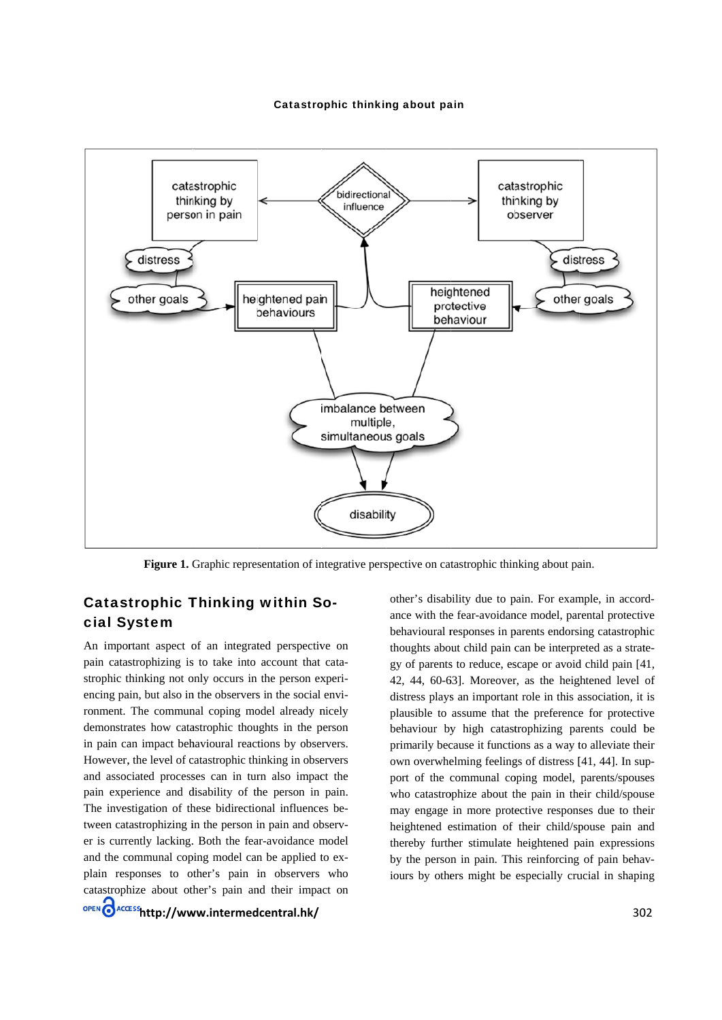

Figure 1. Graphic representation of integrative perspective on catastrophic thinking about pain.

## **Catastrophic Thinking within So**cial System

An important aspect of an integrated perspective on pain catastrophizing is to take into account that catastrophic thinking not only occurs in the person experiencing pain, but also in the observers in the social environment. The communal coping model already nicely demonstrates how catastrophic thoughts in the person in pain can impact behavioural reactions by observers. However, the level of catastrophic thinking in observers and associated processes can in turn also impact the pain experience and disability of the person in pain. The investigation of these bidirectional influences between catastrophizing in the person in pain and observer is currently lacking. Both the fear-avoidance model and the communal coping model can be applied to explain responses to other's pain in observers who catastrophize about other's pain and their impact on OPEN CACCESS http://www.intermedcentral.hk/

other's disability due to pain. For example, in accordance with the fear-avoidance model, parental protective behavioural responses in parents endorsing catastrophic thoughts about child pain can be interpreted as a strategy of parents to reduce, escape or avoid child pain [41, 42, 44, 60-63]. Moreover, as the heightened level of distress plays an important role in this association, it is plausible to assume that the preference for protective behaviour by high catastrophizing parents could be primarily because it functions as a way to alleviate their own overwhelming feelings of distress [41, 44]. In support of the communal coping model, parents/spouses who catastrophize about the pain in their child/spouse may engage in more protective responses due to their heightened estimation of their child/spouse pain and thereby further stimulate heightened pain expressions by the person in pain. This reinforcing of pain behaviours by others might be especially crucial in shaping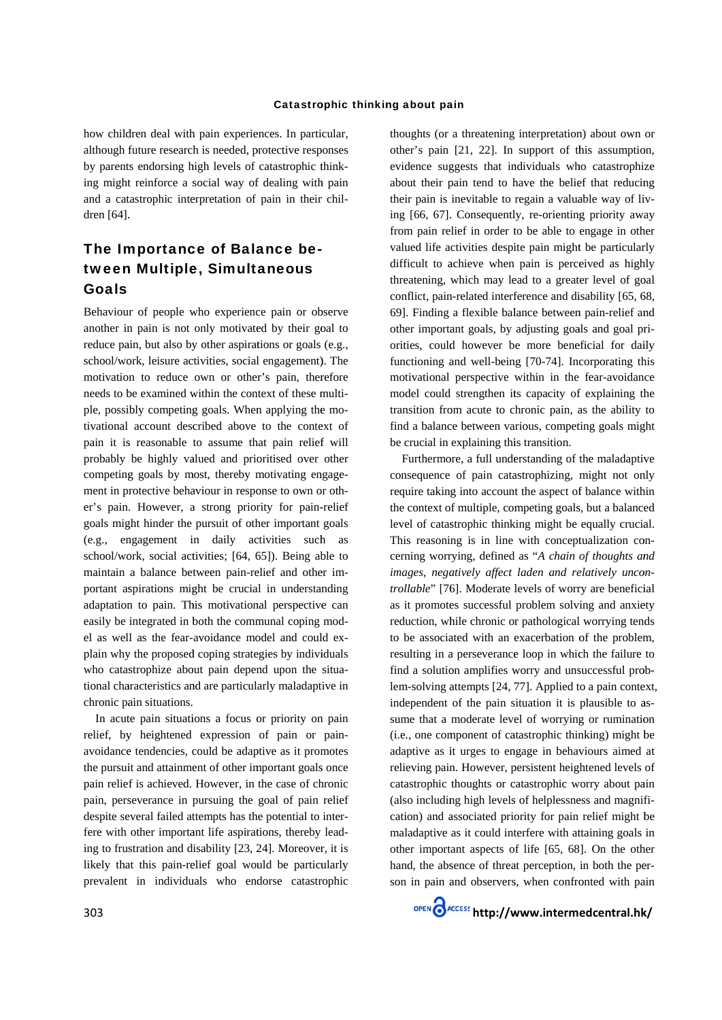how children deal with pain experiences. In particular, although future research is needed, protective responses by parents endorsing high levels of catastrophic thinking might reinforce a social way of dealing with pain and a catastrophic interpretation of pain in their children [64].

# The Importance of Balance between Multiple, Simultaneous Goals

Behaviour of people who experience pain or observe another in pain is not only motivated by their goal to reduce pain, but also by other aspirations or goals (e.g., school/work, leisure activities, social engagement). The motivation to reduce own or other's pain, therefore needs to be examined within the context of these multiple, possibly competing goals. When applying the motivational account described above to the context of pain it is reasonable to assume that pain relief will probably be highly valued and prioritised over other competing goals by most, thereby motivating engagement in protective behaviour in response to own or other's pain. However, a strong priority for pain-relief goals might hinder the pursuit of other important goals (e.g., engagement in daily activities such as school/work, social activities; [64, 65]). Being able to maintain a balance between pain-relief and other important aspirations might be crucial in understanding adaptation to pain. This motivational perspective can easily be integrated in both the communal coping model as well as the fear-avoidance model and could explain why the proposed coping strategies by individuals who catastrophize about pain depend upon the situational characteristics and are particularly maladaptive in chronic pain situations.

In acute pain situations a focus or priority on pain relief, by heightened expression of pain or painavoidance tendencies, could be adaptive as it promotes the pursuit and attainment of other important goals once pain relief is achieved. However, in the case of chronic pain, perseverance in pursuing the goal of pain relief despite several failed attempts has the potential to interfere with other important life aspirations, thereby leading to frustration and disability [23, 24]. Moreover, it is likely that this pain-relief goal would be particularly prevalent in individuals who endorse catastrophic

thoughts (or a threatening interpretation) about own or other's pain [21, 22]. In support of this assumption, evidence suggests that individuals who catastrophize about their pain tend to have the belief that reducing their pain is inevitable to regain a valuable way of living [66, 67]. Consequently, re-orienting priority away from pain relief in order to be able to engage in other valued life activities despite pain might be particularly difficult to achieve when pain is perceived as highly threatening, which may lead to a greater level of goal conflict, pain-related interference and disability [65, 68, 69]. Finding a flexible balance between pain-relief and other important goals, by adjusting goals and goal priorities, could however be more beneficial for daily functioning and well-being [70-74]. Incorporating this motivational perspective within in the fear-avoidance model could strengthen its capacity of explaining the transition from acute to chronic pain, as the ability to find a balance between various, competing goals might be crucial in explaining this transition.

Furthermore, a full understanding of the maladaptive consequence of pain catastrophizing, might not only require taking into account the aspect of balance within the context of multiple, competing goals, but a balanced level of catastrophic thinking might be equally crucial. This reasoning is in line with conceptualization concerning worrying, defined as "A chain of thoughts and images, negatively affect laden and relatively uncontrollable" [76]. Moderate levels of worry are beneficial as it promotes successful problem solving and anxiety reduction, while chronic or pathological worrying tends to be associated with an exacerbation of the problem, resulting in a perseverance loop in which the failure to find a solution amplifies worry and unsuccessful problem-solving attempts [24, 77]. Applied to a pain context, independent of the pain situation it is plausible to assume that a moderate level of worrying or rumination (i.e., one component of catastrophic thinking) might be adaptive as it urges to engage in behaviours aimed at relieving pain. However, persistent heightened levels of catastrophic thoughts or catastrophic worry about pain (also including high levels of helplessness and magnification) and associated priority for pain relief might be maladaptive as it could interfere with attaining goals in other important aspects of life [65, 68]. On the other hand, the absence of threat perception, in both the person in pain and observers, when confronted with pain

OPEN CACCESS http://www.intermedcentral.hk/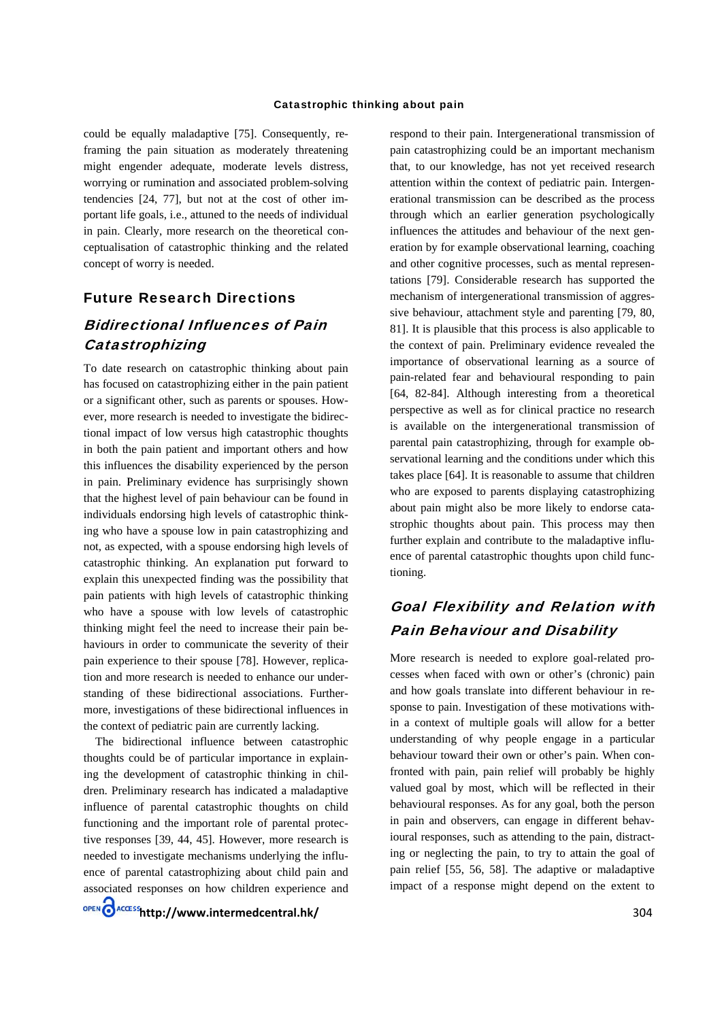could be equally maladaptive [75]. Consequently, reframing the pain situation as moderately threatening might engender adequate, moderate levels distress, worrying or rumination and associated problem-solving tendencies [24, 77], but not at the cost of other important life goals, *i.e.*, attuned to the needs of individual in pain. Clearly, more research on the theoretical conceptualisation of catastrophic thinking and the related concept of worry is needed.

## **Future Research Directions**

# **Bidirectional Influences of Pain** Catastrophizing

To date research on catastrophic thinking about pain has focused on catastrophizing either in the pain patient or a significant other, such as parents or spouses. However, more research is needed to investigate the bidirectional impact of low versus high catastrophic thoughts in both the pain patient and important others and how this influences the disability experienced by the person in pain. Preliminary evidence has surprisingly shown that the highest level of pain behaviour can be found in individuals endorsing high levels of catastrophic thinking who have a spouse low in pain catastrophizing and not, as expected, with a spouse endorsing high levels of catastrophic thinking. An explanation put forward to explain this unexpected finding was the possibility that pain patients with high levels of catastrophic thinking who have a spouse with low levels of catastrophic thinking might feel the need to increase their pain behaviours in order to communicate the severity of their pain experience to their spouse [78]. However, replication and more research is needed to enhance our understanding of these bidirectional associations. Furthermore, investigations of these bidirectional influences in the context of pediatric pain are currently lacking.

The bidirectional influence between catastrophic thoughts could be of particular importance in explaining the development of catastrophic thinking in children. Preliminary research has indicated a maladaptive influence of parental catastrophic thoughts on child functioning and the important role of parental protective responses [39, 44, 45]. However, more research is needed to investigate mechanisms underlying the influence of parental catastrophizing about child pain and associated responses on how children experience and respond to their pain. Intergenerational transmission of pain catastrophizing could be an important mechanism that, to our knowledge, has not yet received research attention within the context of pediatric pain. Intergenerational transmission can be described as the process through which an earlier generation psychologically influences the attitudes and behaviour of the next generation by for example observational learning, coaching and other cognitive processes, such as mental representations [79]. Considerable research has supported the mechanism of intergenerational transmission of aggressive behaviour, attachment style and parenting [79, 80, 81]. It is plausible that this process is also applicable to the context of pain. Preliminary evidence revealed the importance of observational learning as a source of pain-related fear and behavioural responding to pain [64, 82-84]. Although interesting from a theoretical perspective as well as for clinical practice no research is available on the intergenerational transmission of parental pain catastrophizing, through for example observational learning and the conditions under which this takes place [64]. It is reasonable to assume that children who are exposed to parents displaying catastrophizing about pain might also be more likely to endorse catastrophic thoughts about pain. This process may then further explain and contribute to the maladaptive influence of parental catastrophic thoughts upon child functioning.

# **Goal Flexibility and Relation with Pain Behaviour and Disability**

More research is needed to explore goal-related processes when faced with own or other's (chronic) pain and how goals translate into different behaviour in response to pain. Investigation of these motivations within a context of multiple goals will allow for a better understanding of why people engage in a particular behaviour toward their own or other's pain. When confronted with pain, pain relief will probably be highly valued goal by most, which will be reflected in their behavioural responses. As for any goal, both the person in pain and observers, can engage in different behavioural responses, such as attending to the pain, distracting or neglecting the pain, to try to attain the goal of pain relief [55, 56, 58]. The adaptive or maladaptive impact of a response might depend on the extent to

OPEN CACCESShttp://www.intermedcentral.hk/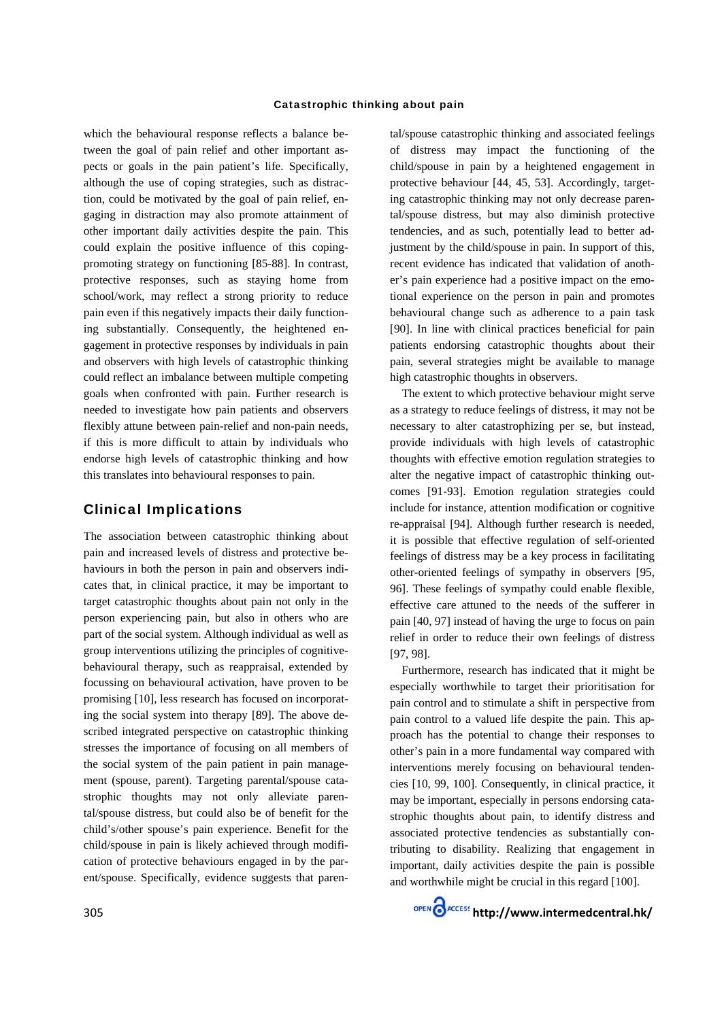which the behavioural response reflects a balance between the goal of pain relief and other important aspects or goals in the pain patient's life. Specifically, although the use of coping strategies, such as distraction, could be motivated by the goal of pain relief, engaging in distraction may also promote attainment of other important daily activities despite the pain. This could explain the positive influence of this copingpromoting strategy on functioning [85-88]. In contrast, protective responses, such as staying home from school/work, may reflect a strong priority to reduce pain even if this negatively impacts their daily functioning substantially. Consequently, the heightened engagement in protective responses by individuals in pain and observers with high levels of catastrophic thinking could reflect an imbalance between multiple competing goals when confronted with pain. Further research is needed to investigate how pain patients and observers flexibly attune between pain-relief and non-pain needs, if this is more difficult to attain by individuals who endorse high levels of catastrophic thinking and how this translates into behavioural responses to pain.

#### **Clinical Implications**

The association between catastrophic thinking about pain and increased levels of distress and protective behaviours in both the person in pain and observers indicates that, in clinical practice, it may be important to target catastrophic thoughts about pain not only in the person experiencing pain, but also in others who are part of the social system. Although individual as well as group interventions utilizing the principles of cognitivebehavioural therapy, such as reappraisal, extended by focussing on behavioural activation, have proven to be promising [10], less research has focused on incorporating the social system into therapy [89]. The above described integrated perspective on catastrophic thinking stresses the importance of focusing on all members of the social system of the pain patient in pain management (spouse, parent). Targeting parental/spouse catastrophic thoughts may not only alleviate parental/spouse distress, but could also be of benefit for the child's/other spouse's pain experience. Benefit for the child/spouse in pain is likely achieved through modification of protective behaviours engaged in by the parent/spouse. Specifically, evidence suggests that paren-

tal/spouse catastrophic thinking and associated feelings of distress may impact the functioning of the child/spouse in pain by a heightened engagement in protective behaviour [44, 45, 53]. Accordingly, targeting catastrophic thinking may not only decrease parental/spouse distress, but may also diminish protective tendencies, and as such, potentially lead to better adjustment by the child/spouse in pain. In support of this, recent evidence has indicated that validation of another's pain experience had a positive impact on the emotional experience on the person in pain and promotes behavioural change such as adherence to a pain task [90]. In line with clinical practices beneficial for pain patients endorsing catastrophic thoughts about their pain, several strategies might be available to manage high catastrophic thoughts in observers.

The extent to which protective behaviour might serve as a strategy to reduce feelings of distress, it may not be necessary to alter catastrophizing per se, but instead, provide individuals with high levels of catastrophic thoughts with effective emotion regulation strategies to alter the negative impact of catastrophic thinking outcomes [91-93]. Emotion regulation strategies could include for instance, attention modification or cognitive re-appraisal [94]. Although further research is needed, it is possible that effective regulation of self-oriented feelings of distress may be a key process in facilitating other-oriented feelings of sympathy in observers [95, 96]. These feelings of sympathy could enable flexible, effective care attuned to the needs of the sufferer in pain [40, 97] instead of having the urge to focus on pain relief in order to reduce their own feelings of distress  $[97, 98]$ .

Furthermore, research has indicated that it might be especially worthwhile to target their prioritisation for pain control and to stimulate a shift in perspective from pain control to a valued life despite the pain. This approach has the potential to change their responses to other's pain in a more fundamental way compared with interventions merely focusing on behavioural tendencies [10, 99, 100]. Consequently, in clinical practice, it may be important, especially in persons endorsing catastrophic thoughts about pain, to identify distress and associated protective tendencies as substantially contributing to disability. Realizing that engagement in important, daily activities despite the pain is possible and worthwhile might be crucial in this regard [100].

OPEN CACCESS http://www.intermedcentral.hk/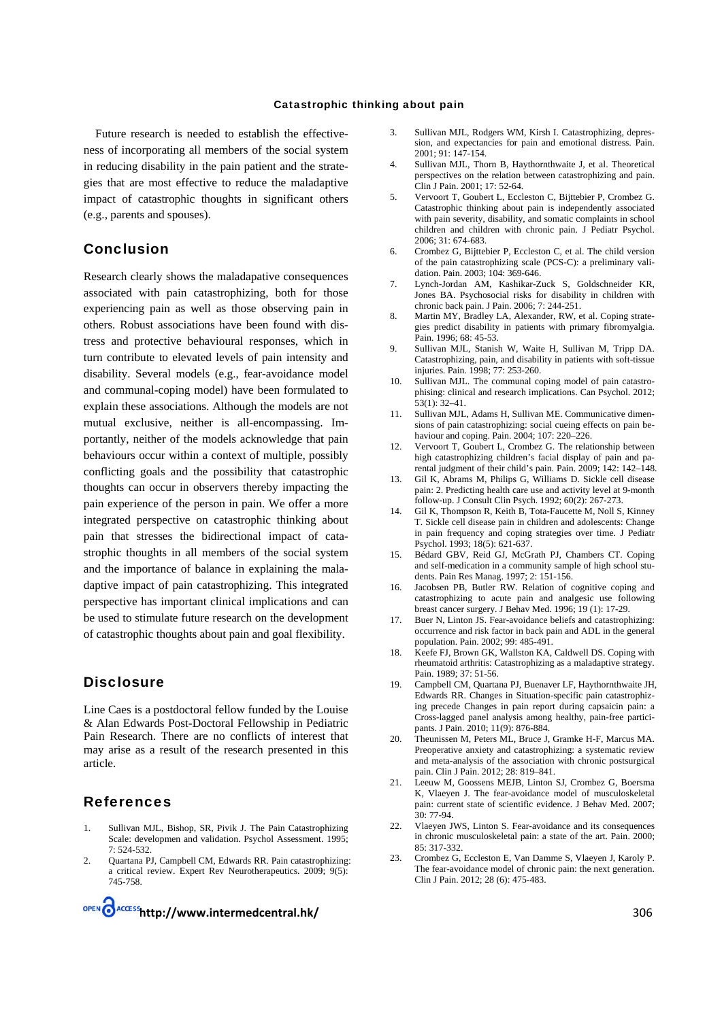Future research is needed to establish the effectiveness of incorporating all members of the social system in reducing disability in the pain patient and the strategies that are most effective to reduce the maladaptive impact of catastrophic thoughts in significant others (e.g., parents and spouses).

### **Conclusion**

Research clearly shows the maladapative consequences associated with pain catastrophizing, both for those experiencing pain as well as those observing pain in others. Robust associations have been found with distress and protective behavioural responses, which in turn contribute to elevated levels of pain intensity and disability. Several models (e.g., fear-avoidance model and communal-coping model) have been formulated to explain these associations. Although the models are not mutual exclusive, neither is all-encompassing. Importantly, neither of the models acknowledge that pain behaviours occur within a context of multiple, possibly conflicting goals and the possibility that catastrophic thoughts can occur in observers thereby impacting the pain experience of the person in pain. We offer a more integrated perspective on catastrophic thinking about pain that stresses the bidirectional impact of catastrophic thoughts in all members of the social system and the importance of balance in explaining the maladaptive impact of pain catastrophizing. This integrated perspective has important clinical implications and can be used to stimulate future research on the development of catastrophic thoughts about pain and goal flexibility.

### **Disclosure**

Line Caes is a postdoctoral fellow funded by the Louise & Alan Edwards Post-Doctoral Fellowship in Pediatric Pain Research. There are no conflicts of interest that may arise as a result of the research presented in this article.

#### **References**

- Sullivan MJL, Bishop, SR, Pivik J. The Pain Catastrophizing Scale: developmen and validation. Psychol Assessment. 1995;  $7:524-532$
- Quartana PJ, Campbell CM, Edwards RR. Pain catastrophizing:  $\mathfrak{D}$ a critical review. Expert Rev Neurotherapeutics. 2009: 9(5): 745-758

OPEN CACCESS http://www.intermedcentral.hk/

- Sullivan MJL, Rodgers WM, Kirsh I. Catastrophizing, depres-3. sion, and expectancies for pain and emotional distress. Pain.  $2001:91:147-154.$
- $\overline{4}$ Sullivan MJL, Thorn B, Haythornthwaite J, et al. Theoretical perspectives on the relation between catastrophizing and pain. Clin J Pain. 2001: 17: 52-64.
- Vervoort T, Goubert L, Eccleston C, Bijttebier P, Crombez G.  $5.$ Catastrophic thinking about pain is independently associated with pain severity, disability, and somatic complaints in school children and children with chronic pain. J Pediatr Psychol. 2006; 31: 674-683.
- Crombez G, Bijttebier P, Eccleston C, et al. The child version 6. of the pain catastrophizing scale (PCS-C): a preliminary validation. Pain. 2003: 104: 369-646.
- $\overline{7}$ Lynch-Jordan AM, Kashikar-Zuck S, Goldschneider KR, Jones BA. Psychosocial risks for disability in children with chronic back pain. J Pain. 2006; 7: 244-251.
- $\mathbf{R}$ Martin MY, Bradley LA, Alexander, RW, et al. Coping strategies predict disability in patients with primary fibromyalgia. Pain. 1996; 68: 45-53.
- Sullivan MJL, Stanish W, Waite H, Sullivan M, Tripp DA. 9 Catastrophizing, pain, and disability in patients with soft-tissue injuries. Pain. 1998; 77: 253-260.
- $10<sup>-10</sup>$ Sullivan MJL. The communal coping model of pain catastrophising: clinical and research implications. Can Psychol. 2012;  $53(1) \cdot 32 - 41$
- 11. Sullivan MJL, Adams H, Sullivan ME. Communicative dimensions of pain catastrophizing: social cueing effects on pain behaviour and coping. Pain. 2004; 107: 220-226.
- Vervoort T, Goubert L, Crombez G. The relationship between  $12<sup>12</sup>$ high catastrophizing children's facial display of pain and parental judgment of their child's pain. Pain. 2009; 142: 142-148.
- $13.$ Gil K, Abrams M, Philips G, Williams D. Sickle cell disease pain: 2. Predicting health care use and activity level at 9-month follow-up. J Consult Clin Psych. 1992; 60(2): 267-273.
- $14$ Gil K, Thompson R, Keith B, Tota-Faucette M, Noll S, Kinney T. Sickle cell disease pain in children and adolescents: Change in pain frequency and coping strategies over time. J Pediatr Psychol. 1993; 18(5): 621-637.
- Bédard GBV, Reid GJ, McGrath PJ, Chambers CT, Coping  $15$ and self-medication in a community sample of high school students. Pain Res Manag. 1997; 2: 151-156.
- $16.$ Jacobsen PB, Butler RW. Relation of cognitive coping and catastrophizing to acute pain and analgesic use following breast cancer surgery. J Behav Med. 1996; 19 (1): 17-29.
- 17. Buer N. Linton JS. Fear-avoidance beliefs and catastrophizing: occurrence and risk factor in back pain and ADL in the general population. Pain. 2002; 99: 485-491.
- 18. Keefe FJ, Brown GK, Wallston KA, Caldwell DS. Coping with rheumatoid arthritis: Catastrophizing as a maladaptive strategy. Pain 1989: 37: 51-56
- Campbell CM, Quartana PJ, Buenaver LF, Haythornthwaite JH, 19. Edwards RR. Changes in Situation-specific pain catastrophizing precede Changes in pain report during capsaicin pain: a Cross-lagged panel analysis among healthy, pain-free participants. J Pain. 2010: 11(9): 876-884.
- $20<sup>1</sup>$ Theunissen M. Peters ML. Bruce J. Gramke H-F. Marcus MA. Preoperative anxiety and catastrophizing: a systematic review and meta-analysis of the association with chronic postsurgical pain. Clin J Pain. 2012; 28: 819-841.
- Leeuw M, Goossens MEJB, Linton SJ, Crombez G, Boersma  $21$ K. Vlaeven J. The fear-avoidance model of musculoskeletal pain: current state of scientific evidence. J Behav Med. 2007; 30: 77-94.
- 22. Vlaeyen JWS, Linton S. Fear-avoidance and its consequences in chronic musculoskeletal pain: a state of the art. Pain. 2000;  $85.317-332$
- $23$ Crombez G, Eccleston E, Van Damme S, Vlaeyen J, Karoly P. The fear-avoidance model of chronic pain: the next generation. Clin J Pain. 2012; 28 (6): 475-483.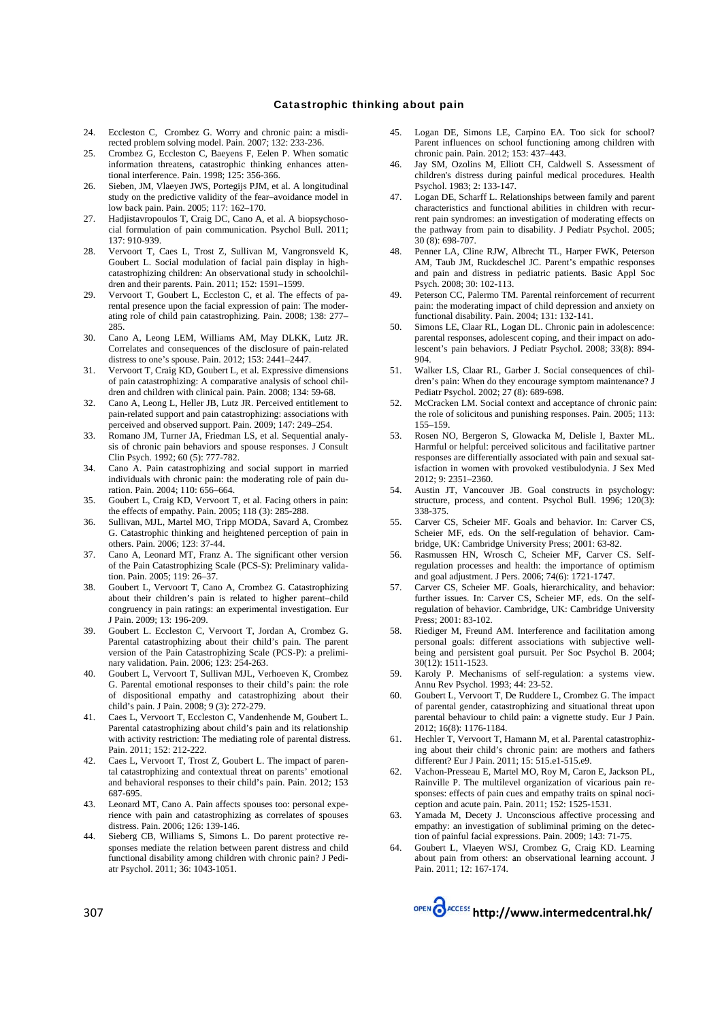- Eccleston C, Crombez G. Worry and chronic pain: a misdi-24. rected problem solving model. Pain. 2007; 132: 233-236.
- $25$ Crombez G, Eccleston C, Baeyens F, Eelen P. When somatic information threatens, catastrophic thinking enhances attentional interference. Pain. 1998; 125: 356-366.
- Sieben, JM, Vlaeyen JWS, Portegijs PJM, et al. A longitudinal 26. study on the predictive validity of the fear-avoidance model in low back pain. Pain. 2005: 117: 162-170.
- 27. Hadjistavropoulos T, Craig DC, Cano A, et al. A biopsychosocial formulation of pain communication. Psychol Bull. 2011;  $137.910-939$
- Vervoort T, Caes L, Trost Z, Sullivan M, Vangronsveld K, 28 Goubert L. Social modulation of facial pain display in highcatastrophizing children: An observational study in schoolchildren and their parents. Pain. 2011; 152: 1591-1599.
- 29. Vervoort T, Goubert L, Eccleston C, et al. The effects of parental presence upon the facial expression of pain: The moderating role of child pain catastrophizing. Pain. 2008; 138: 277-285.
- Cano A, Leong LEM, Williams AM, May DLKK, Lutz JR. 30. Correlates and consequences of the disclosure of pain-related distress to one's spouse. Pain. 2012; 153: 2441-2447.
- Vervoort T, Craig KD, Goubert L, et al. Expressive dimensions 31. of pain catastrophizing: A comparative analysis of school children and children with clinical pain. Pain. 2008; 134: 59-68.
- $32.$ Cano A, Leong L, Heller JB, Lutz JR. Perceived entitlement to pain-related support and pain catastrophizing: associations with perceived and observed support. Pain. 2009; 147: 249-254.
- $33$ Romano JM, Turner JA, Friedman LS, et al. Sequential analysis of chronic pain behaviors and spouse responses. J Consult Clin Psych. 1992; 60 (5): 777-782.
- Cano A. Pain catastrophizing and social support in married 34. individuals with chronic pain: the moderating role of pain duration. Pain. 2004; 110: 656-664.
- 35 Goubert L, Craig KD, Vervoort T, et al. Facing others in pain: the effects of empathy. Pain. 2005; 118 (3): 285-288.
- Sullivan, MJL, Martel MO, Tripp MODA, Savard A, Crombez 36. G. Catastrophic thinking and heightened perception of pain in others. Pain. 2006; 123: 37-44.
- Cano A, Leonard MT, Franz A, The significant other version  $37$ of the Pain Catastrophizing Scale (PCS-S): Preliminary validation. Pain. 2005: 119: 26-37.
- Goubert L, Vervoort T, Cano A, Crombez G. Catastrophizing 38. about their children's pain is related to higher parent-child congruency in pain ratings: an experimental investigation. Eur I Pain 2009: 13: 196-209
- 39. Goubert L. Eccleston C, Vervoort T, Jordan A, Crombez G. Parental catastrophizing about their child's pain. The parent version of the Pain Catastrophizing Scale (PCS-P): a preliminary validation. Pain. 2006; 123: 254-263.
- 40. Goubert L, Vervoort T, Sullivan MJL, Verhoeven K, Crombez G. Parental emotional responses to their child's pain: the role of dispositional empathy and catastrophizing about their child's pain. J Pain. 2008; 9 (3): 272-279.
- Caes L, Vervoort T, Eccleston C, Vandenhende M, Goubert L. Parental catastrophizing about child's pain and its relationship with activity restriction: The mediating role of parental distress. Pain. 2011; 152: 212-222.
- Caes L, Vervoort T, Trost Z, Goubert L. The impact of paren-42. tal catastrophizing and contextual threat on parents' emotional and behavioral responses to their child's pain. Pain. 2012: 153 687-695
- 43. Leonard MT, Cano A. Pain affects spouses too: personal experience with pain and catastrophizing as correlates of spouses distress. Pain. 2006; 126: 139-146.
- Sieberg CB, Williams S, Simons L. Do parent protective re-44 sponses mediate the relation between parent distress and child functional disability among children with chronic pain? J Pediatr Psychol. 2011; 36: 1043-1051.
- Logan DE, Simons LE, Carpino EA. Too sick for school?  $45$ Parent influences on school functioning among children with chronic pain, Pain, 2012; 153: 437-443.
- $46$ Jay SM, Ozolins M, Elliott CH, Caldwell S. Assessment of children's distress during painful medical procedures. Health Psychol. 1983: 2: 133-147.
- Logan DE, Scharff L. Relationships between family and parent 47. characteristics and functional abilities in children with recurrent pain syndromes: an investigation of moderating effects on the pathway from pain to disability. J Pediatr Psychol. 2005;  $30(8)$  698-707
- Penner LA, Cline RJW, Albrecht TL, Harper FWK, Peterson 48. AM, Taub JM, Ruckdeschel JC. Parent's empathic responses and pain and distress in pediatric patients. Basic Appl Soc Psych. 2008; 30: 102-113.
- 49 Peterson CC, Palermo TM. Parental reinforcement of recurrent pain: the moderating impact of child depression and anxiety on functional disability. Pain. 2004; 131: 132-141.
- 50. Simons LE, Claar RL, Logan DL. Chronic pain in adolescence: parental responses, adolescent coping, and their impact on adolescent's pain behaviors. J Pediatr Psychol. 2008; 33(8): 894-904
- 51. Walker LS, Claar RL, Garber J. Social consequences of children's pain: When do they encourage symptom maintenance? J Pediatr Psychol. 2002; 27 (8): 689-698.
- 52. McCracken LM. Social context and acceptance of chronic pain: the role of solicitous and punishing responses. Pain. 2005; 113:  $155 - 159$
- Rosen NO, Bergeron S, Glowacka M, Delisle I, Baxter ML.  $53$ Harmful or helpful: perceived solicitous and facilitative partner responses are differentially associated with pain and sexual satisfaction in women with provoked vestibulodynia. J Sex Med 2012: 9: 2351-2360.
- Austin JT, Vancouver JB. Goal constructs in psychology:  $54$ structure, process, and content. Psychol Bull. 1996; 120(3): 338-375
- Carver CS, Scheier MF. Goals and behavior. In: Carver CS, 55. Scheier MF, eds. On the self-regulation of behavior. Cambridge, UK: Cambridge University Press; 2001: 63-82.
- Rasmussen HN, Wrosch C, Scheier MF, Carver CS, Self-56 regulation processes and health: the importance of optimism and goal adjustment. J Pers. 2006: 74(6): 1721-1747
- Carver CS, Scheier MF. Goals, hierarchicality, and behavior: 57. further issues. In: Carver CS, Scheier MF, eds. On the selfregulation of behavior. Cambridge, UK: Cambridge University Press:  $2001 \cdot 83 - 102$
- Riediger M, Freund AM. Interference and facilitation among 58. personal goals: different associations with subjective wellbeing and persistent goal pursuit. Per Soc Psychol B. 2004; 30(12): 1511-1523.
- Karoly P. Mechanisms of self-regulation: a systems view. 59. Annu Rev Psychol. 1993: 44: 23-52.
- Goubert L, Vervoort T, De Ruddere L, Crombez G. The impact 60. of parental gender, catastrophizing and situational threat upon parental behaviour to child pain: a vignette study. Eur J Pain. 2012: 16(8): 1176-1184.
- Hechler T. Vervoort T. Hamann M. et al. Parental catastrophiz-61 ing about their child's chronic pain: are mothers and fathers different? Eur J Pain. 2011; 15: 515.e1-515.e9.
- 62. Vachon-Presseau E, Martel MO, Roy M, Caron E, Jackson PL, Rainville P. The multilevel organization of vicarious pain responses: effects of pain cues and empathy traits on spinal nociception and acute pain. Pain. 2011; 152: 1525-1531.
- Yamada M, Decety J. Unconscious affective processing and 63. empathy: an investigation of subliminal priming on the detection of painful facial expressions. Pain, 2009; 143: 71-75.
- Goubert L, Vlaeyen WSJ, Crombez G, Craig KD. Learning 64 about pain from others: an observational learning account. J Pain. 2011: 12: 167-174.